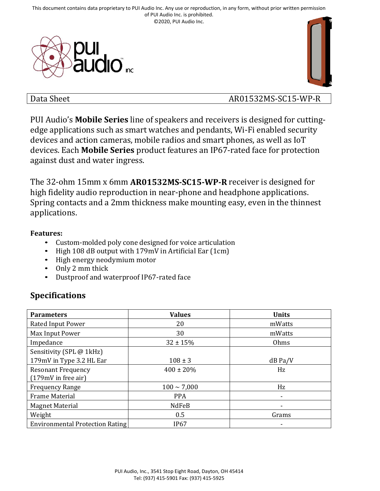



## Data Sheet AR01532MS-SC15-WP-R

PUI Audio's **Mobile Series** line of speakers and receivers is designed for cuttingedge applications such as smart watches and pendants, Wi-Fi enabled security devices and action cameras, mobile radios and smart phones, as well as IoT devices. Each **Mobile Series** product features an IP67-rated face for protection against dust and water ingress.

The 32-ohm 15mm x 6mm **AR01532MS-SC15-WP-R** receiver is designed for high fidelity audio reproduction in near-phone and headphone applications. Spring contacts and a 2mm thickness make mounting easy, even in the thinnest applications.

#### **Features:**

- Custom-molded poly cone designed for voice articulation
- High 108 dB output with 179mV in Artificial Ear (1cm)
- High energy neodymium motor
- Only 2 mm thick
- Dustproof and waterproof IP67-rated face

# **Specifications**

| <b>Parameters</b>               | <b>Values</b>    | <b>Units</b> |
|---------------------------------|------------------|--------------|
| <b>Rated Input Power</b>        | 20               | mWatts       |
| Max Input Power                 | 30               | mWatts       |
| Impedance                       | $32 \pm 15%$     | Ohms         |
| Sensitivity (SPL @ 1kHz)        |                  |              |
| 179mV in Type 3.2 HL Ear        | $108 \pm 3$      | $dB$ Pa/V    |
| <b>Resonant Frequency</b>       | $400 \pm 20\%$   | Hz           |
| $(179mV)$ in free air)          |                  |              |
| <b>Frequency Range</b>          | $100 \sim 7,000$ | Hz           |
| <b>Frame Material</b>           | <b>PPA</b>       | ٠            |
| <b>Magnet Material</b>          | NdFeB            |              |
| Weight                          | 0.5              | Grams        |
| Environmental Protection Rating | IP <sub>67</sub> |              |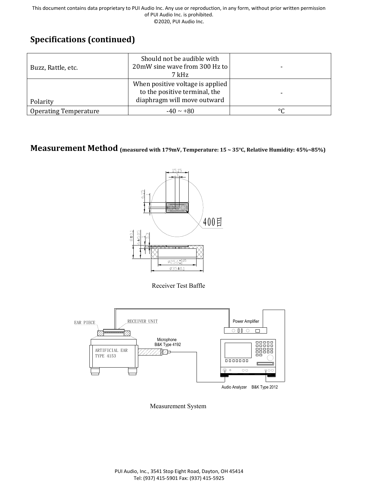# **Specifications (continued)**

| Buzz, Rattle, etc.           | Should not be audible with<br>20mW sine wave from 300 Hz to<br>7 kHz                             |                          |
|------------------------------|--------------------------------------------------------------------------------------------------|--------------------------|
| Polarity                     | When positive voltage is applied<br>to the positive terminal, the<br>diaphragm will move outward | $\overline{\phantom{0}}$ |
| <b>Operating Temperature</b> | $-40 \sim +80$                                                                                   | $\circ$                  |

# **Measurement Method (measured with 179mV, Temperature: 15 ~ 35°C, Relative Humidity: 45%~85%)**



Receiver Test Baffle



Measurement System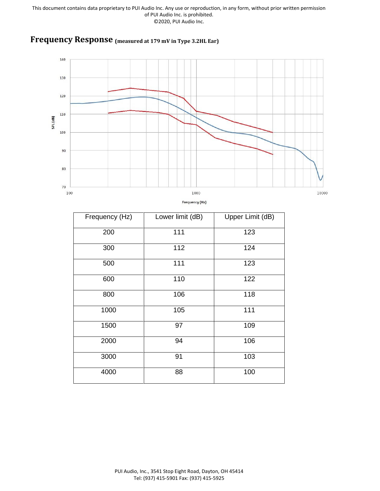## **Frequency Response (measured at 179 mV in Type 3.2HL Ear)**



|  | Frequency (Hz) |
|--|----------------|
|  |                |

| Frequency (Hz) | Lower limit (dB) | Upper Limit (dB) |
|----------------|------------------|------------------|
| 200            | 111              | 123              |
| 300            | 112              | 124              |
| 500            | 111              | 123              |
| 600            | 110              | 122              |
| 800            | 106              | 118              |
| 1000           | 105              | 111              |
| 1500           | 97               | 109              |
| 2000           | 94               | 106              |
| 3000           | 91               | 103              |
| 4000           | 88               | 100              |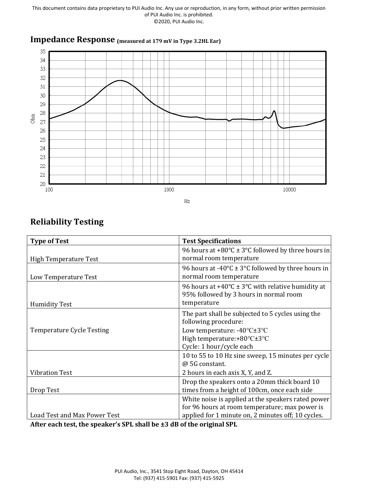

## **Impedance Response (measured at 179 mV in Type 3.2HL Ear)**

## **Reliability Testing**

| <b>Type of Test</b>                 | <b>Test Specifications</b>                                                                                                                                 |
|-------------------------------------|------------------------------------------------------------------------------------------------------------------------------------------------------------|
| High Temperature Test               | 96 hours at +80 $\degree$ C ± 3 $\degree$ C followed by three hours in<br>normal room temperature                                                          |
| Low Temperature Test                | 96 hours at -40 $\degree$ C ± 3 $\degree$ C followed by three hours in<br>normal room temperature                                                          |
| <b>Humidity Test</b>                | 96 hours at +40 $\degree$ C ± 3 $\degree$ C with relative humidity at<br>95% followed by 3 hours in normal room<br>temperature                             |
|                                     | The part shall be subjected to 5 cycles using the<br>following procedure:                                                                                  |
| <b>Temperature Cycle Testing</b>    | Low temperature: -40°C±3°C<br>High temperature:+80°C±3°C<br>Cycle: 1 hour/cycle each                                                                       |
|                                     | 10 to 55 to 10 Hz sine sweep, 15 minutes per cycle<br>@ 5G constant.                                                                                       |
| <b>Vibration Test</b>               | 2 hours in each axis X, Y, and Z.                                                                                                                          |
| Drop Test                           | Drop the speakers onto a 20mm thick board 10<br>times from a height of 100cm, once each side                                                               |
| <b>Load Test and Max Power Test</b> | White noise is applied at the speakers rated power<br>for 96 hours at room temperature; max power is<br>applied for 1 minute on, 2 minutes off; 10 cycles. |

**After each test, the speaker's SPL shall be ±3 dB of the original SPL**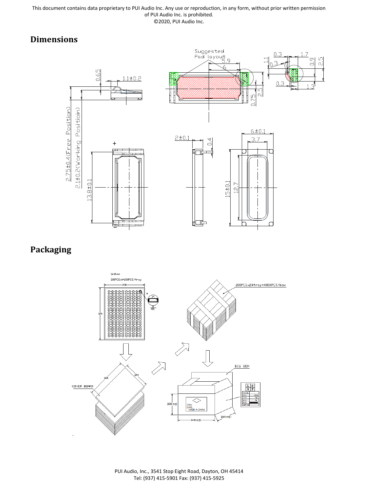# **Dimensions**



# **Packaging**